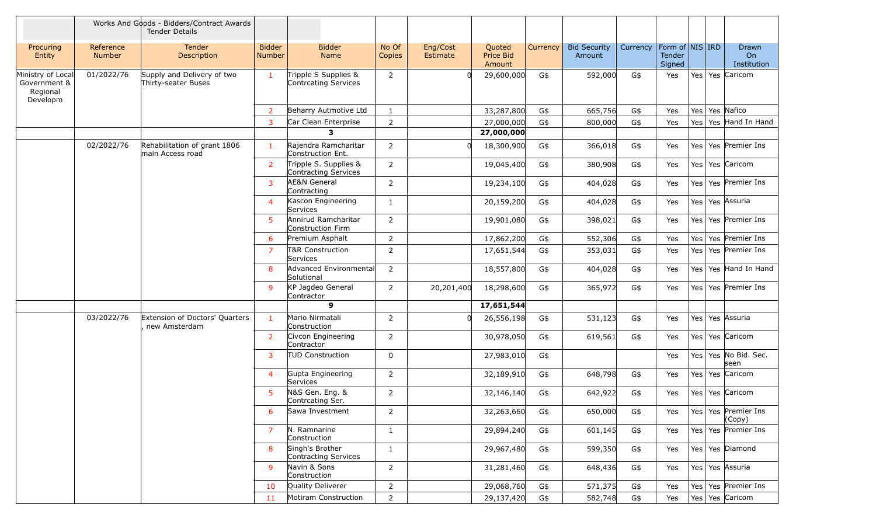|                                                           |                            | Works And Goods - Bidders/Contract Awards<br><b>Tender Details</b> |                                |                                               |                 |                      |                                      |          |                               |          |                                     |                 |                                   |
|-----------------------------------------------------------|----------------------------|--------------------------------------------------------------------|--------------------------------|-----------------------------------------------|-----------------|----------------------|--------------------------------------|----------|-------------------------------|----------|-------------------------------------|-----------------|-----------------------------------|
| Procuring<br>Entity                                       | Reference<br><b>Number</b> | <b>Tender</b><br>Description                                       | <b>Bidder</b><br><b>Number</b> | <b>Bidder</b><br>Name                         | No Of<br>Copies | Eng/Cost<br>Estimate | Quoted<br><b>Price Bid</b><br>Amount | Currency | <b>Bid Security</b><br>Amount | Currency | Form of NIS IRD<br>Tender<br>Signed |                 | <b>Drawn</b><br>On<br>Institution |
| Ministry of Local<br>Government &<br>Regional<br>Developm | 01/2022/76                 | Supply and Delivery of two<br>Thirty-seater Buses                  | $\mathbf{1}$                   | Tripple S Supplies &<br>Contrcating Services  | $\overline{2}$  |                      | 29,600,000                           | G\$      | 592,000                       | G\$      | Yes                                 |                 | Yes Yes Caricom                   |
|                                                           |                            |                                                                    | $\overline{2}$                 | Beharry Autmotive Ltd                         | 1               |                      | 33,287,800                           | G\$      | 665,756                       | G\$      | Yes                                 | Yes <sup></sup> | Yes Nafico                        |
|                                                           |                            |                                                                    | 3                              | Car Clean Enterprise                          | $\overline{2}$  |                      | 27,000,000                           | G\$      | 800,000                       | G\$      | Yes                                 | Yes             | Yes Hand In Hand                  |
|                                                           |                            |                                                                    |                                | 3                                             |                 |                      | 27,000,000                           |          |                               |          |                                     |                 |                                   |
|                                                           | 02/2022/76                 | Rehabilitation of grant 1806<br>lmain Access road                  | 1.                             | Rajendra Ramcharitar<br>Construction Ent.     | $\overline{2}$  | <sub>0</sub>         | 18,300,900                           | G\$      | 366,018                       | G\$      | Yes                                 |                 | Yes   Yes   Premier Ins           |
|                                                           |                            |                                                                    | $\overline{2}$                 | Tripple S. Supplies &<br>Contracting Services | $\overline{2}$  |                      | 19,045,400                           | G\$      | 380,908                       | G\$      | Yes                                 |                 | Yes Yes Caricom                   |
|                                                           |                            |                                                                    | $\mathbf{3}$                   | <b>AE&amp;N General</b><br>Contracting        | $\overline{2}$  |                      | 19,234,100                           | G\$      | 404,028                       | G\$      | Yes                                 | Yes             | Yes Premier Ins                   |
|                                                           |                            |                                                                    | $\overline{4}$                 | Kascon Engineering<br>Services                | 1               |                      | 20,159,200                           | G\$      | 404,028                       | G\$      | Yes                                 |                 | Yes Yes Assuria                   |
|                                                           |                            |                                                                    | 5                              | Annirud Ramcharitar<br>Construction Firm      | 2               |                      | 19,901,080                           | G\$      | 398,021                       | G\$      | Yes                                 |                 | Yes Yes Premier Ins               |
|                                                           |                            |                                                                    | 6                              | Premium Asphalt                               | $\overline{2}$  |                      | 17,862,200                           | G\$      | 552,306                       | G\$      | Yes                                 |                 | Yes   Yes   Premier Ins           |
|                                                           |                            |                                                                    | $\overline{7}$                 | T&R Construction<br>Services                  | $\overline{2}$  |                      | 17,651,544                           | G\$      | 353,031                       | G\$      | Yes                                 |                 | Yes   Yes   Premier Ins           |
|                                                           |                            |                                                                    | 8                              | <b>Advanced Environmental</b><br>Solutional   | $\overline{2}$  |                      | 18,557,800                           | G\$      | 404,028                       | G\$      | Yes                                 | Yes <sup></sup> | Yes Hand In Hand                  |
|                                                           |                            |                                                                    | 9                              | KP Jagdeo General<br>Contractor               | 2               | 20,201,400           | 18,298,600                           | G\$      | 365,972                       | G\$      | Yes                                 |                 | Yes   Yes   Premier Ins           |
|                                                           |                            |                                                                    |                                | $\mathbf{9}$                                  |                 |                      | 17,651,544                           |          |                               |          |                                     |                 |                                   |
|                                                           | 03/2022/76                 | Extension of Doctors' Quarters<br>new Amsterdam                    | $\mathbf{1}$                   | Mario Nirmatali<br>Construction               | $\overline{2}$  |                      | 26,556,198                           | G\$      | 531,123                       | G\$      | Yes                                 |                 | Yes   Yes   Assuria               |
|                                                           |                            |                                                                    | $\overline{2}$                 | Civcon Engineering<br>Contractor              | 2               |                      | 30,978,050                           | G\$      | 619,561                       | G\$      | Yes                                 |                 | Yes   Yes   Caricom               |
|                                                           |                            |                                                                    | $\mathbf{3}$                   | <b>TUD Construction</b>                       | $\mathbf 0$     |                      | 27,983,010                           | G\$      |                               |          | Yes                                 |                 | Yes   Yes   No Bid. Sec.<br>seen  |
|                                                           |                            |                                                                    | $\overline{4}$                 | Gupta Engineering<br>Services                 | $\overline{2}$  |                      | 32,189,910                           | G\$      | 648,798                       | G\$      | Yes                                 |                 | Yes   Yes   Caricom               |
|                                                           |                            |                                                                    | 5.                             | N&S Gen. Eng. &<br>Contrcating Ser.           | $\overline{2}$  |                      | 32,146,140                           | G\$      | 642,922                       | G\$      | Yes                                 |                 | Yes Yes Caricom                   |
|                                                           |                            |                                                                    | 6                              | Sawa Investment                               | $\overline{2}$  |                      | 32,263,660                           | G\$      | 650,000                       | G\$      | Yes                                 |                 | Yes   Yes   Premier Ins<br>(Copy) |
|                                                           |                            |                                                                    | $\overline{7}$                 | N. Ramnarine<br>Construction                  | $\mathbf{1}$    |                      | 29,894,240                           | G\$      | 601,145                       | G\$      | Yes                                 |                 | Yes   Yes   Premier Ins           |
|                                                           |                            |                                                                    | 8                              | Singh's Brother<br>Contracting Services       | $\mathbf{1}$    |                      | 29,967,480                           | G\$      | 599,350                       | G\$      | Yes                                 |                 | Yes Yes Diamond                   |
|                                                           |                            |                                                                    | 9                              | Navin & Sons<br>Construction                  | $\overline{2}$  |                      | 31,281,460                           | G\$      | 648,436                       | G\$      | Yes                                 |                 | Yes   Yes   Assuria               |
|                                                           |                            |                                                                    | 10                             | Quality Deliverer                             | $\overline{2}$  |                      | 29,068,760                           | G\$      | 571,375                       | G\$      | Yes                                 |                 | Yes   Yes   Premier Ins           |
|                                                           |                            |                                                                    | 11                             | Motiram Construction                          | $\overline{2}$  |                      | 29,137,420                           | G\$      | 582,748                       | G\$      | Yes                                 |                 | Yes Yes Caricom                   |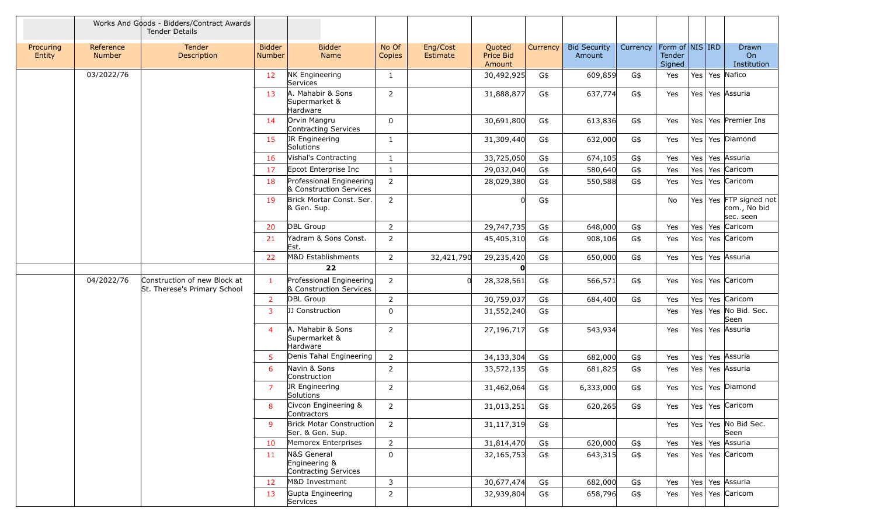|                     |                            | Works And Goods - Bidders/Contract Awards<br><b>Tender Details</b> |                         |                                                      |                 |                      |                                      |          |                               |          |                                     |                  |                                                         |
|---------------------|----------------------------|--------------------------------------------------------------------|-------------------------|------------------------------------------------------|-----------------|----------------------|--------------------------------------|----------|-------------------------------|----------|-------------------------------------|------------------|---------------------------------------------------------|
| Procuring<br>Entity | Reference<br><b>Number</b> | Tender<br>Description                                              | <b>Bidder</b><br>Number | <b>Bidder</b><br>Name                                | No Of<br>Copies | Eng/Cost<br>Estimate | Quoted<br><b>Price Bid</b><br>Amount | Currency | <b>Bid Security</b><br>Amount | Currency | Form of NIS IRD<br>Tender<br>Signed |                  | Drawn<br>O <sub>n</sub><br>Institution                  |
|                     | 03/2022/76                 |                                                                    | 12 <sup>2</sup>         | <b>NK Engineering</b><br>Services                    | $\mathbf{1}$    |                      | 30,492,925                           | G\$      | 609,859                       | G\$      | Yes                                 |                  | Yes Yes Nafico                                          |
|                     |                            |                                                                    | 13                      | A. Mahabir & Sons<br>Supermarket &<br>Hardware       | $\overline{2}$  |                      | 31,888,877                           | G\$      | 637,774                       | G\$      | Yes                                 |                  | Yes Yes Assuria                                         |
|                     |                            |                                                                    | 14                      | Orvin Mangru<br>Contracting Services                 | $\mathbf 0$     |                      | 30,691,800                           | G\$      | 613,836                       | G\$      | Yes                                 | Yes              | Yes Premier Ins                                         |
|                     |                            |                                                                    | 15                      | JR Engineering<br>Solutions                          | 1               |                      | 31,309,440                           | G\$      | 632,000                       | G\$      | Yes                                 |                  | Yes   Yes   Diamond                                     |
|                     |                            |                                                                    | 16                      | Vishal's Contracting                                 | 1               |                      | 33,725,050                           | G\$      | 674,105                       | G\$      | Yes                                 |                  | Yes Yes Assuria                                         |
|                     |                            |                                                                    | 17                      | Epcot Enterprise Inc                                 | 1               |                      | 29,032,040                           | G\$      | 580,640                       | G\$      | Yes                                 | Yes              | Yes Caricom                                             |
|                     |                            |                                                                    | 18                      | Professional Engineering<br>& Construction Services  | $\overline{2}$  |                      | 28,029,380                           | G\$      | 550,588                       | G\$      | Yes                                 | Yes <sub>1</sub> | Yes Caricom                                             |
|                     |                            |                                                                    | 19                      | Brick Mortar Const. Ser.<br>& Gen. Sup.              | $\overline{2}$  |                      |                                      | G\$      |                               |          | No                                  |                  | Yes   Yes   FTP signed not<br>com., No bid<br>sec. seen |
|                     |                            |                                                                    | 20                      | DBL Group                                            | 2               |                      | 29,747,735                           | G\$      | 648,000                       | G\$      | Yes                                 |                  | Yes   Yes   Caricom                                     |
|                     |                            |                                                                    | 21                      | Yadram & Sons Const.<br>Est.                         | $\overline{2}$  |                      | 45,405,310                           | G\$      | 908,106                       | G\$      | Yes                                 |                  | Yes   Yes   Caricom                                     |
|                     |                            |                                                                    | 22                      | M&D Establishments                                   | 2               | 32,421,790           | 29,235,420                           | G\$      | 650,000                       | G\$      | Yes                                 | Yes <sup></sup>  | Yes Assuria                                             |
|                     |                            |                                                                    |                         | 22                                                   |                 |                      | O                                    |          |                               |          |                                     |                  |                                                         |
|                     | 04/2022/76                 | Construction of new Block at<br>St. Therese's Primary School       | 1                       | Professional Engineering<br>& Construction Services  | 2               | n.                   | 28,328,561                           | G\$      | 566,571                       | G\$      | Yes                                 |                  | Yes Yes Caricom                                         |
|                     |                            |                                                                    | $\mathbf{2}$            | <b>DBL Group</b>                                     | $\overline{2}$  |                      | 30,759,037                           | G\$      | 684,400                       | G\$      | Yes                                 | Yes              | Yes Caricom                                             |
|                     |                            |                                                                    | 3                       | <b>JJ Construction</b>                               | $\Omega$        |                      | 31,552,240                           | G\$      |                               |          | Yes                                 | Yes              | Yes No Bid. Sec.<br>Seen                                |
|                     |                            |                                                                    | 4                       | A. Mahabir & Sons<br>Supermarket &<br>Hardware       | $\overline{2}$  |                      | 27,196,717                           | G\$      | 543,934                       |          | Yes                                 |                  | Yes Yes Assuria                                         |
|                     |                            |                                                                    | 5.                      | Denis Tahal Engineering                              | 2               |                      | 34,133,304                           | G\$      | 682,000                       | G\$      | Yes                                 |                  | Yes Yes Assuria                                         |
|                     |                            |                                                                    | 6                       | Navin & Sons<br>Construction                         | $\overline{2}$  |                      | 33,572,135                           | G\$      | 681,825                       | G\$      | Yes                                 | Yes              | Yes Assuria                                             |
|                     |                            |                                                                    | $\overline{7}$          | JR Engineering<br>Solutions                          | $\overline{2}$  |                      | 31,462,064                           | G\$      | 6,333,000                     | G\$      | Yes                                 |                  | Yes Yes Diamond                                         |
|                     |                            |                                                                    | 8                       | Civcon Engineering &<br>Contractors                  | $\overline{2}$  |                      | 31,013,251                           | G\$      | 620,265                       | G\$      | Yes                                 |                  | Yes Yes Caricom                                         |
|                     |                            |                                                                    | $\mathsf{Q}$            | <b>Brick Motar Construction</b><br>Ser. & Gen. Sup.  | $\overline{2}$  |                      | 31,117,319                           | G\$      |                               |          | Yes                                 |                  | Yes   Yes   No Bid Sec.<br>Seen                         |
|                     |                            |                                                                    | 10                      | Memorex Enterprises                                  | $\overline{2}$  |                      | 31,814,470                           | G\$      | 620,000                       | G\$      | Yes                                 |                  | Yes   Yes   Assuria                                     |
|                     |                            |                                                                    | 11                      | N&S General<br>Engineering &<br>Contracting Services | $\mathbf 0$     |                      | 32,165,753                           | G\$      | 643,315                       | G\$      | Yes                                 |                  | Yes Yes Caricom                                         |
|                     |                            |                                                                    | 12 <sup>2</sup>         | M&D Investment                                       | 3               |                      | 30,677,474                           | G\$      | 682,000                       | G\$      | Yes                                 |                  | Yes Yes Assuria                                         |
|                     |                            |                                                                    | 13                      | Gupta Engineering<br>Services                        | $\overline{2}$  |                      | 32,939,804                           | G\$      | 658,796                       | G\$      | Yes                                 |                  | Yes Yes Caricom                                         |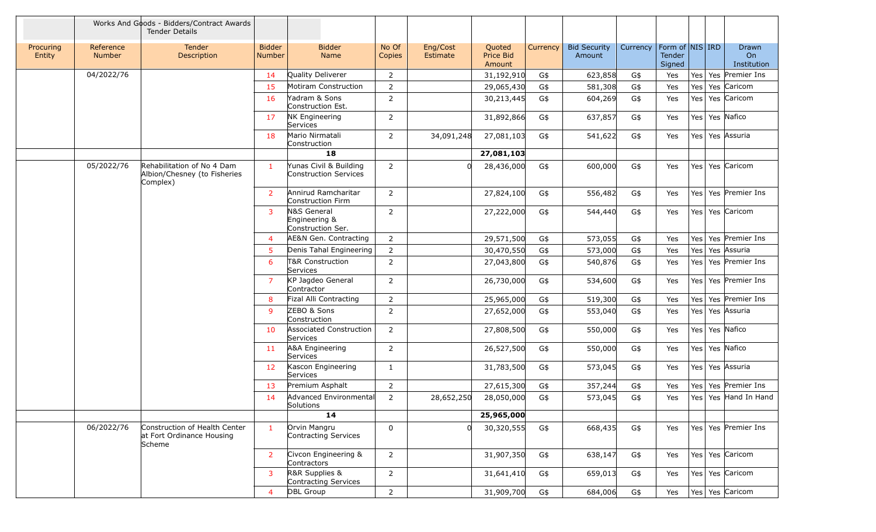|                     |                            | Works And Goods - Bidders/Contract Awards<br><b>Tender Details</b>     |                                |                                                        |                 |                      |                                      |          |                               |          |                                     |  |                            |
|---------------------|----------------------------|------------------------------------------------------------------------|--------------------------------|--------------------------------------------------------|-----------------|----------------------|--------------------------------------|----------|-------------------------------|----------|-------------------------------------|--|----------------------------|
| Procuring<br>Entity | Reference<br><b>Number</b> | Tender<br>Description                                                  | <b>Bidder</b><br><b>Number</b> | <b>Bidder</b><br>Name                                  | No Of<br>Copies | Eng/Cost<br>Estimate | Quoted<br><b>Price Bid</b><br>Amount | Currency | <b>Bid Security</b><br>Amount | Currency | Form of NIS IRD<br>Tender<br>Signed |  | Drawn<br>On<br>Institution |
|                     | 04/2022/76                 |                                                                        | 14                             | <b>Quality Deliverer</b>                               | $\overline{2}$  |                      | 31,192,910                           | G\$      | 623,858                       | G\$      | Yes                                 |  | Yes   Yes   Premier Ins    |
|                     |                            |                                                                        | 15                             | Motiram Construction                                   | $\overline{2}$  |                      | 29,065,430                           | G\$      | 581,308                       | G\$      | Yes                                 |  | Yes   Yes   Caricom        |
|                     |                            |                                                                        | 16                             | Yadram & Sons<br>Construction Est.                     | 2               |                      | 30,213,445                           | G\$      | 604,269                       | G\$      | Yes                                 |  | Yes   Yes   Caricom        |
|                     |                            |                                                                        | 17                             | <b>NK Engineering</b><br>Services                      | 2               |                      | 31,892,866                           | G\$      | 637,857                       | G\$      | Yes                                 |  | Yes   Yes   Nafico         |
|                     |                            |                                                                        | 18                             | Mario Nirmatali<br>Construction                        | $\overline{2}$  | 34,091,248           | 27,081,103                           | G\$      | 541,622                       | G\$      | Yes                                 |  | Yes Yes Assuria            |
|                     |                            |                                                                        |                                | 18                                                     |                 |                      | 27,081,103                           |          |                               |          |                                     |  |                            |
|                     | 05/2022/76                 | Rehabilitation of No 4 Dam<br>Albion/Chesney (to Fisheries<br>Complex) | 1                              | Yunas Civil & Building<br><b>Construction Services</b> | $\overline{2}$  | $\Omega$             | 28,436,000                           | G\$      | 600,000                       | G\$      | Yes                                 |  | Yes   Yes   Caricom        |
|                     |                            |                                                                        | $\overline{2}$                 | Annirud Ramcharitar<br>Construction Firm               | $\overline{2}$  |                      | 27,824,100                           | G\$      | 556,482                       | G\$      | Yes                                 |  | Yes   Yes   Premier Ins    |
|                     |                            |                                                                        | 3                              | N&S General<br>Engineering &<br>Construction Ser.      | $\overline{2}$  |                      | 27,222,000                           | G\$      | 544,440                       | G\$      | Yes                                 |  | Yes   Yes   Caricom        |
|                     |                            |                                                                        | $\overline{4}$                 | AE&N Gen. Contracting                                  | $\overline{2}$  |                      | 29,571,500                           | G\$      | 573,055                       | G\$      | Yes                                 |  | Yes   Yes   Premier Ins    |
|                     |                            |                                                                        | 5.                             | Denis Tahal Engineering                                | $\overline{2}$  |                      | 30,470,550                           | G\$      | 573,000                       | G\$      | Yes                                 |  | Yes   Yes   Assuria        |
|                     |                            |                                                                        | 6                              | T&R Construction<br>Services                           | $\overline{2}$  |                      | 27,043,800                           | G\$      | 540,876                       | G\$      | Yes                                 |  | Yes   Yes   Premier Ins    |
|                     |                            |                                                                        | $\overline{7}$                 | KP Jagdeo General<br>Contractor                        | $\overline{2}$  |                      | 26,730,000                           | G\$      | 534,600                       | G\$      | Yes                                 |  | Yes   Yes   Premier Ins    |
|                     |                            |                                                                        | 8                              | Fizal Alli Contracting                                 | $\overline{2}$  |                      | 25,965,000                           | G\$      | 519,300                       | G\$      | Yes                                 |  | Yes   Yes   Premier Ins    |
|                     |                            |                                                                        | 9                              | ZEBO & Sons<br>Construction                            | $\overline{2}$  |                      | 27,652,000                           | G\$      | 553,040                       | G\$      | Yes                                 |  | Yes   Yes   Assuria        |
|                     |                            |                                                                        | 10                             | Associated Construction<br>Services                    | $\overline{2}$  |                      | 27,808,500                           | G\$      | 550,000                       | G\$      | Yes                                 |  | Yes Yes Nafico             |
|                     |                            |                                                                        | 11                             | A&A Engineering<br>Services                            | $\overline{2}$  |                      | 26,527,500                           | G\$      | 550,000                       | G\$      | Yes                                 |  | Yes   Yes   Nafico         |
|                     |                            |                                                                        | 12                             | Kascon Engineering<br>Services                         | $\mathbf{1}$    |                      | 31,783,500                           | G\$      | 573,045                       | G\$      | Yes                                 |  | Yes   Yes   Assuria        |
|                     |                            |                                                                        | 13                             | Premium Asphalt                                        | $\overline{2}$  |                      | 27,615,300                           | G\$      | 357,244                       | G\$      | Yes                                 |  | Yes   Yes   Premier Ins    |
|                     |                            |                                                                        | 14                             | Advanced Environmental<br>Solutions                    | $\overline{2}$  | 28,652,250           | 28,050,000                           | G\$      | 573,045                       | G\$      | Yes                                 |  | Yes Yes Hand In Hand       |
|                     |                            |                                                                        |                                | 14                                                     |                 |                      | 25,965,000                           |          |                               |          |                                     |  |                            |
|                     | 06/2022/76                 | Construction of Health Center<br>at Fort Ordinance Housing<br>Scheme   | $\mathbf{1}$                   | Orvin Mangru<br>Contracting Services                   | 0               |                      | 30,320,555                           | G\$      | 668,435                       | G\$      | Yes                                 |  | Yes   Yes   Premier Ins    |
|                     |                            |                                                                        | 2 <sup>1</sup>                 | Civcon Engineering &<br>Contractors                    | $2^{\circ}$     |                      | 31,907,350                           | G\$      | 638,147                       | G\$      | Yes                                 |  | Yes Yes Caricom            |
|                     |                            |                                                                        | $\mathbf{3}$                   | R&R Supplies &<br>Contracting Services                 | $\overline{2}$  |                      | 31,641,410                           | G\$      | 659,013                       | G\$      | Yes                                 |  | Yes   Yes   Caricom        |
|                     |                            |                                                                        | $\overline{4}$                 | DBL Group                                              | $\overline{2}$  |                      | 31,909,700                           | G\$      | 684,006                       | G\$      | Yes                                 |  | Yes   Yes   Caricom        |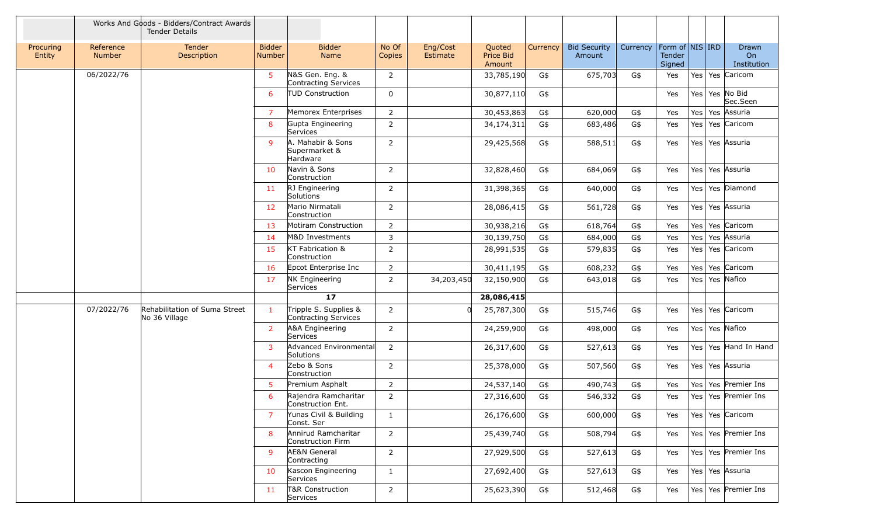|                     |                            | Works And Goods - Bidders/Contract Awards<br><b>Tender Details</b> |                         |                                                |                 |                      |                                      |          |                               |          |                                     |                 |                                        |
|---------------------|----------------------------|--------------------------------------------------------------------|-------------------------|------------------------------------------------|-----------------|----------------------|--------------------------------------|----------|-------------------------------|----------|-------------------------------------|-----------------|----------------------------------------|
| Procuring<br>Entity | Reference<br><b>Number</b> | Tender<br>Description                                              | <b>Bidder</b><br>Number | <b>Bidder</b><br>Name                          | No Of<br>Copies | Eng/Cost<br>Estimate | Quoted<br><b>Price Bid</b><br>Amount | Currency | <b>Bid Security</b><br>Amount | Currency | Form of NIS IRD<br>Tender<br>Signed |                 | Drawn<br>O <sub>n</sub><br>Institution |
|                     | 06/2022/76                 |                                                                    | 5.                      | N&S Gen. Eng. &<br>Contracting Services        | 2               |                      | 33,785,190                           | G\$      | 675,703                       | G\$      | Yes                                 |                 | Yes Yes Caricom                        |
|                     |                            |                                                                    | 6                       | <b>TUD Construction</b>                        | $\mathbf 0$     |                      | 30,877,110                           | G\$      |                               |          | Yes                                 | Yes             | Yes No Bid<br>Sec.Seen                 |
|                     |                            |                                                                    | $\overline{7}$          | Memorex Enterprises                            | $\overline{2}$  |                      | 30,453,863                           | G\$      | 620,000                       | G\$      | Yes                                 |                 | Yes   Yes   Assuria                    |
|                     |                            |                                                                    | 8                       | Gupta Engineering<br>Services                  | $\overline{2}$  |                      | 34,174,311                           | G\$      | 683,486                       | G\$      | Yes                                 |                 | Yes Yes Caricom                        |
|                     |                            |                                                                    | 9                       | A. Mahabir & Sons<br>Supermarket &<br>Hardware | $\overline{2}$  |                      | 29,425,568                           | G\$      | 588,511                       | G\$      | Yes                                 |                 | Yes   Yes   Assuria                    |
|                     |                            |                                                                    | 10 <sup>°</sup>         | Navin & Sons<br>Construction                   | 2               |                      | 32,828,460                           | G\$      | 684,069                       | G\$      | Yes                                 |                 | Yes   Yes   Assuria                    |
|                     |                            |                                                                    | 11 <sup>1</sup>         | RJ Engineering<br>Solutions                    | $\overline{2}$  |                      | 31,398,365                           | G\$      | 640,000                       | G\$      | Yes                                 |                 | Yes Yes Diamond                        |
|                     |                            |                                                                    | 12                      | Mario Nirmatali<br>Construction                | 2               |                      | 28,086,415                           | G\$      | 561,728                       | G\$      | Yes                                 |                 | Yes Yes Assuria                        |
|                     |                            |                                                                    | 13                      | Motiram Construction                           | $\overline{2}$  |                      | 30,938,216                           | G\$      | 618,764                       | G\$      | Yes                                 | Yes <sup></sup> | Yes Caricom                            |
|                     |                            |                                                                    | 14                      | M&D Investments                                | 3               |                      | 30,139,750                           | G\$      | 684,000                       | G\$      | Yes                                 | Yes             | Yes Assuria                            |
|                     |                            |                                                                    | 15                      | KT Fabrication &<br>Construction               | $\overline{2}$  |                      | 28,991,535                           | G\$      | 579,835                       | G\$      | Yes                                 |                 | Yes   Yes   Caricom                    |
|                     |                            |                                                                    | 16                      | Epcot Enterprise Inc                           | $\overline{2}$  |                      | 30,411,195                           | G\$      | 608,232                       | G\$      | Yes                                 | Yes             | Yes Caricom                            |
|                     |                            |                                                                    | 17                      | <b>NK Engineering</b><br>Services              | $\overline{2}$  | 34,203,450           | 32,150,900                           | G\$      | 643,018                       | G\$      | Yes                                 | Yes <sup></sup> | Yes Nafico                             |
|                     |                            |                                                                    |                         | 17                                             |                 |                      | 28,086,415                           |          |                               |          |                                     |                 |                                        |
|                     | 07/2022/76                 | Rehabilitation of Suma Street<br>No 36 Village                     |                         | Tripple S. Supplies &<br>Contracting Services  | $\overline{2}$  | $\Omega$             | 25,787,300                           | G\$      | 515,746                       | G\$      | Yes                                 | Yes <sup></sup> | Yes Caricom                            |
|                     |                            |                                                                    | $\overline{2}$          | A&A Engineering<br>Services                    | $\overline{2}$  |                      | 24,259,900                           | G\$      | 498,000                       | G\$      | Yes                                 |                 | Yes Yes Nafico                         |
|                     |                            |                                                                    | 3                       | Advanced Environmental<br>Solutions            | $\overline{2}$  |                      | 26,317,600                           | G\$      | 527,613                       | G\$      | Yes                                 |                 | Yes   Yes   Hand In Hand               |
|                     |                            |                                                                    | $\overline{4}$          | Zebo & Sons<br>Construction                    | $\overline{2}$  |                      | 25,378,000                           | G\$      | 507,560                       | G\$      | Yes                                 |                 | Yes   Yes   Assuria                    |
|                     |                            |                                                                    | 5                       | Premium Asphalt                                | $\overline{2}$  |                      | 24,537,140                           | G\$      | 490,743                       | G\$      | Yes                                 |                 | Yes   Yes   Premier Ins                |
|                     |                            |                                                                    | 6                       | Rajendra Ramcharitar<br>Construction Ent.      | $\overline{2}$  |                      | 27,316,600                           | G\$      | 546,332                       | G\$      | Yes                                 |                 | Yes   Yes   Premier Ins                |
|                     |                            |                                                                    | 7                       | Yunas Civil & Building<br>Const. Ser           | 1               |                      | 26,176,600                           | G\$      | 600,000                       | G\$      | Yes                                 |                 | Yes   Yes   Caricom                    |
|                     |                            |                                                                    | 8                       | Annirud Ramcharitar<br>Construction Firm       | $\overline{2}$  |                      | 25,439,740                           | G\$      | 508,794                       | G\$      | Yes                                 |                 | Yes   Yes   Premier Ins                |
|                     |                            |                                                                    | 9                       | <b>AE&amp;N General</b><br>Contracting         | $\overline{2}$  |                      | 27,929,500                           | G\$      | 527,613                       | G\$      | Yes                                 |                 | Yes Yes Premier Ins                    |
|                     |                            |                                                                    | 10                      | Kascon Engineering<br>Services                 | $\mathbf{1}$    |                      | 27,692,400                           | G\$      | 527,613                       | G\$      | Yes                                 |                 | Yes   Yes   Assuria                    |
|                     |                            |                                                                    | 11                      | T&R Construction<br>Services                   | $\overline{2}$  |                      | 25,623,390                           | G\$      | 512,468                       | G\$      | Yes                                 |                 | Yes   Yes   Premier Ins                |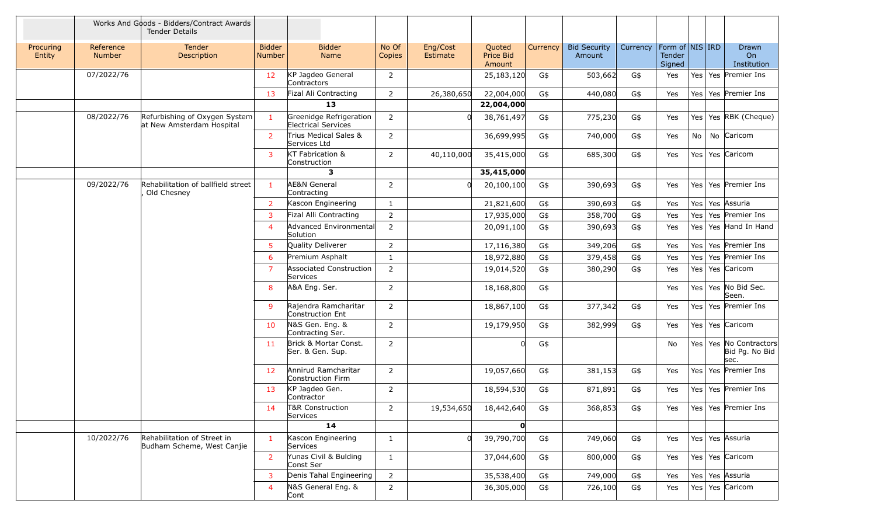|                     |                            | Works And Goods - Bidders/Contract Awards<br><b>Tender Details</b> |                                |                                                       |                 |                      |                               |                 |                               |          |                                     |                  |                                                      |
|---------------------|----------------------------|--------------------------------------------------------------------|--------------------------------|-------------------------------------------------------|-----------------|----------------------|-------------------------------|-----------------|-------------------------------|----------|-------------------------------------|------------------|------------------------------------------------------|
| Procuring<br>Entity | Reference<br><b>Number</b> | Tender<br>Description                                              | <b>Bidder</b><br><b>Number</b> | <b>Bidder</b><br>Name                                 | No Of<br>Copies | Eng/Cost<br>Estimate | Quoted<br>Price Bid<br>Amount | <b>Currency</b> | <b>Bid Security</b><br>Amount | Currency | Form of NIS IRD<br>Tender<br>Signed |                  | Drawn<br>On<br>Institution                           |
|                     | 07/2022/76                 |                                                                    | 12 <sup>2</sup>                | KP Jagdeo General<br>Contractors                      | 2               |                      | 25,183,120                    | G\$             | 503,662                       | G\$      | Yes                                 |                  | Yes   Yes   Premier Ins                              |
|                     |                            |                                                                    | 13                             | Fizal Ali Contracting                                 | $2^{\circ}$     | 26,380,650           | 22,004,000                    | G\$             | 440,080                       | G\$      | Yes                                 |                  | Yes   Yes   Premier Ins                              |
|                     |                            |                                                                    |                                | 13                                                    |                 |                      | 22,004,000                    |                 |                               |          |                                     |                  |                                                      |
|                     | 08/2022/76                 | Refurbishing of Oxygen System<br>at New Amsterdam Hospital         | $\mathbf{1}$                   | Greenidge Refrigeration<br><b>Electrical Services</b> | $\overline{2}$  |                      | 38,761,497                    | G\$             | 775,230                       | G\$      | Yes                                 |                  | Yes Yes RBK (Cheque)                                 |
|                     |                            |                                                                    | $\overline{2}$                 | Trius Medical Sales &<br>Services Ltd                 | $\overline{2}$  |                      | 36,699,995                    | G\$             | 740,000                       | G\$      | Yes                                 | No               | No Caricom                                           |
|                     |                            |                                                                    | $\overline{3}$                 | KT Fabrication &<br>Construction                      | $2^{\circ}$     | 40,110,000           | 35,415,000                    | G\$             | 685,300                       | G\$      | Yes                                 |                  | Yes   Yes   Caricom                                  |
|                     |                            |                                                                    |                                | 3                                                     |                 |                      | 35,415,000                    |                 |                               |          |                                     |                  |                                                      |
|                     | 09/2022/76                 | Rehabilitation of ballfield street<br>Old Chesney                  | $\mathbf{1}$                   | <b>AE&amp;N</b> General<br>Contracting                | $\overline{2}$  |                      | 20,100,100                    | G\$             | 390,693                       | G\$      | Yes                                 | Yes              | Yes Premier Ins                                      |
|                     |                            |                                                                    | 2 <sup>1</sup>                 | Kascon Engineering                                    | $\mathbf{1}$    |                      | 21,821,600                    | G\$             | 390,693                       | G\$      | Yes                                 |                  | Yes   Yes   Assuria                                  |
|                     |                            |                                                                    | 3                              | Fizal Alli Contracting                                | $\overline{2}$  |                      | 17,935,000                    | G\$             | 358,700                       | G\$      | Yes                                 | Yes              | Yes Premier Ins                                      |
|                     |                            |                                                                    | $\overline{4}$                 | Advanced Environmental<br>Solution                    | $\overline{2}$  |                      | 20,091,100                    | G\$             | 390,693                       | G\$      | Yes                                 | Yes              | Yes Hand In Hand                                     |
|                     |                            |                                                                    | 5                              | Quality Deliverer                                     | $\overline{2}$  |                      | 17,116,380                    | G\$             | 349,206                       | G\$      | Yes                                 | Yes              | Yes Premier Ins                                      |
|                     |                            |                                                                    | 6                              | Premium Asphalt                                       | 1               |                      | 18,972,880                    | G\$             | 379,458                       | G\$      | Yes                                 | Yes <sub>1</sub> | Yes Premier Ins                                      |
|                     |                            |                                                                    | $\overline{7}$                 | <b>Associated Construction</b><br>Services            | $\overline{2}$  |                      | 19,014,520                    | G\$             | 380,290                       | G\$      | Yes                                 |                  | Yes   Yes   Caricom                                  |
|                     |                            |                                                                    | 8                              | A&A Eng. Ser.                                         | 2               |                      | 18,168,800                    | G\$             |                               |          | Yes                                 |                  | Yes   Yes   No Bid Sec.<br>Seen.                     |
|                     |                            |                                                                    | 9                              | Rajendra Ramcharitar<br>Construction Ent              | $\overline{2}$  |                      | 18,867,100                    | G\$             | 377,342                       | G\$      | Yes                                 |                  | Yes   Yes   Premier Ins                              |
|                     |                            |                                                                    | 10 <sup>°</sup>                | N&S Gen. Eng. &<br>Contracting Ser.                   | $\overline{2}$  |                      | 19,179,950                    | G\$             | 382,999                       | G\$      | Yes                                 |                  | Yes   Yes   Caricom                                  |
|                     |                            |                                                                    | 11                             | Brick & Mortar Const.<br>Ser. & Gen. Sup.             | $\overline{2}$  |                      | $\Omega$                      | G\$             |                               |          | No                                  |                  | Yes   Yes   No Contractors<br>Bid Pg. No Bid<br>sec. |
|                     |                            |                                                                    | 12 <sup>2</sup>                | Annirud Ramcharitar<br>Construction Firm              | 2               |                      | 19,057,660                    | G\$             | 381,153                       | G\$      | Yes                                 | Yes              | Yes Premier Ins                                      |
|                     |                            |                                                                    | 13                             | KP Jagdeo Gen.<br>Contractor                          | $\overline{2}$  |                      | 18,594,530                    | G\$             | 871,891                       | G\$      | Yes                                 |                  | Yes Yes Premier Ins                                  |
|                     |                            |                                                                    | 14                             | T&R Construction<br>Services                          | 2               | 19,534,650           | 18,442,640                    | G\$             | 368,853                       | G\$      | Yes                                 |                  | Yes  Yes  Premier Ins                                |
|                     |                            |                                                                    |                                | 14                                                    |                 |                      | 0                             |                 |                               |          |                                     |                  |                                                      |
|                     | 10/2022/76                 | Rehabilitation of Street in<br>Budham Scheme, West Canjie          | $\mathbf{1}$                   | Kascon Engineering<br>Services                        | $\mathbf{1}$    | $\overline{0}$       | 39,790,700                    | G\$             | 749,060                       | G\$      | Yes                                 |                  | Yes   Yes   Assuria                                  |
|                     |                            |                                                                    | $\overline{2}$                 | Yunas Civil & Bulding<br>Const Ser                    | $\mathbf{1}$    |                      | 37,044,600                    | G\$             | 800,000                       | G\$      | Yes                                 |                  | Yes Yes Caricom                                      |
|                     |                            |                                                                    | 3                              | Denis Tahal Engineering                               | $\overline{2}$  |                      | 35,538,400                    | G\$             | 749,000                       | G\$      | Yes                                 |                  | Yes Yes Assuria                                      |
|                     |                            |                                                                    | 4                              | N&S General Eng. &<br>Cont                            | $\overline{2}$  |                      | 36,305,000                    | G\$             | 726,100                       | G\$      | Yes                                 |                  | Yes   Yes   Caricom                                  |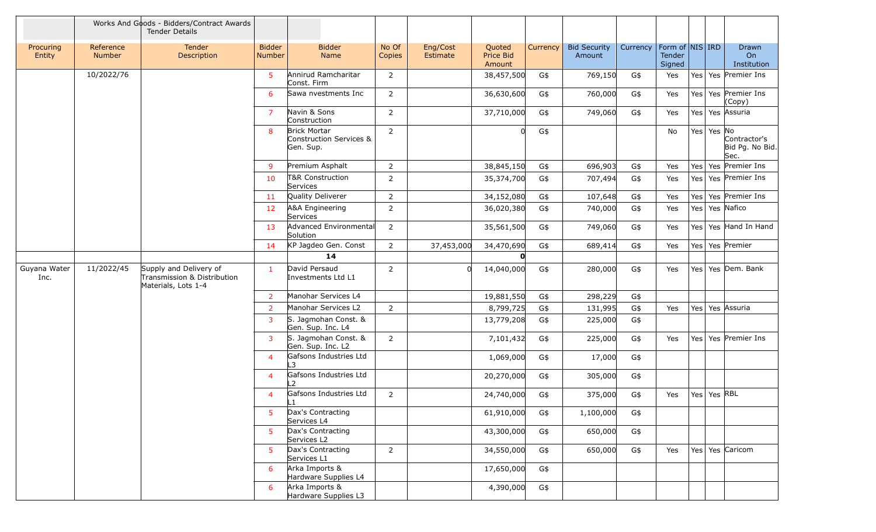|                      |                     | Works And Goods - Bidders/Contract Awards<br><b>Tender Details</b>           |                         |                                                             |                 |                      |                                      |          |                               |                                |                  |                  |                 |                                         |
|----------------------|---------------------|------------------------------------------------------------------------------|-------------------------|-------------------------------------------------------------|-----------------|----------------------|--------------------------------------|----------|-------------------------------|--------------------------------|------------------|------------------|-----------------|-----------------------------------------|
| Procuring<br>Entity  | Reference<br>Number | Tender<br>Description                                                        | <b>Bidder</b><br>Number | <b>Bidder</b><br><b>Name</b>                                | No Of<br>Copies | Eng/Cost<br>Estimate | Quoted<br><b>Price Bid</b><br>Amount | Currency | <b>Bid Security</b><br>Amount | Currency   Form of   NIS   IRD | Tender<br>Signed |                  |                 | Drawn<br>O <sub>n</sub><br>Institution  |
|                      | 10/2022/76          |                                                                              | 5                       | Annirud Ramcharitar<br>Const. Firm                          | $\overline{2}$  |                      | 38,457,500                           | G\$      | 769,150                       | G\$                            | Yes              |                  |                 | Yes   Yes   Premier Ins                 |
|                      |                     |                                                                              | 6                       | Sawa nvestments Inc                                         | $\overline{2}$  |                      | 36,630,600                           | G\$      | 760,000                       | G\$                            | Yes              | Yes <sub>l</sub> |                 | Yes Premier Ins<br>(Copy)               |
|                      |                     |                                                                              | $\overline{7}$          | Navin & Sons<br>Construction                                | $\overline{2}$  |                      | 37,710,000                           | G\$      | 749,060                       | G\$                            | Yes              |                  |                 | Yes Yes Assuria                         |
|                      |                     |                                                                              | 8                       | <b>Brick Mortar</b><br>Construction Services &<br>Gen. Sup. | $\overline{2}$  |                      |                                      | G\$      |                               |                                | No               |                  | Yes Yes No      | Contractor's<br>Bid Pg. No Bid.<br>Sec. |
|                      |                     |                                                                              | 9                       | Premium Asphalt                                             | $\overline{2}$  |                      | 38,845,150                           | G\$      | 696,903                       | G\$                            | Yes              | Yes              |                 | Yes Premier Ins                         |
|                      |                     |                                                                              | 10                      | T&R Construction<br>Services                                | 2               |                      | 35,374,700                           | G\$      | 707,494                       | G\$                            | Yes              |                  |                 | Yes   Yes   Premier Ins                 |
|                      |                     |                                                                              | 11                      | Quality Deliverer                                           | $\overline{2}$  |                      | 34,152,080                           | G\$      | 107,648                       | G\$                            | Yes              | Yes <sup></sup>  |                 | Yes Premier Ins                         |
|                      |                     |                                                                              | 12                      | A&A Engineering<br>Services                                 | $\overline{2}$  |                      | 36,020,380                           | G\$      | 740,000                       | G\$                            | Yes              |                  |                 | Yes   Yes   Nafico                      |
|                      |                     |                                                                              | 13                      | Advanced Environmental<br>Solution                          | $\overline{2}$  |                      | 35,561,500                           | G\$      | 749,060                       | G\$                            | Yes              |                  |                 | Yes   Yes Hand In Hand                  |
|                      |                     |                                                                              | 14                      | KP Jagdeo Gen. Const                                        | $\overline{2}$  | 37,453,000           | 34,470,690                           | G\$      | 689,414                       | G\$                            | Yes              | Yes              |                 | Yes Premier                             |
|                      |                     |                                                                              |                         | 14                                                          |                 |                      | O                                    |          |                               |                                |                  |                  |                 |                                         |
| Guyana Water<br>Inc. | 11/2022/45          | Supply and Delivery of<br>Transmission & Distribution<br>Materials, Lots 1-4 | $\mathbf{1}$            | David Persaud<br>Investments Ltd L1                         | $\overline{2}$  | $\Omega$             | 14,040,000                           | G\$      | 280,000                       | G\$                            | Yes              |                  |                 | Yes Yes Dem. Bank                       |
|                      |                     |                                                                              | $\overline{2}$          | Manohar Services L4                                         |                 |                      | 19,881,550                           | G\$      | 298,229                       | G\$                            |                  |                  |                 |                                         |
|                      |                     |                                                                              | $\overline{2}$          | Manohar Services L2                                         | $\overline{2}$  |                      | 8,799,725                            | G\$      | 131,995                       | G\$                            | Yes              | Yes <sup> </sup> |                 | Yes Assuria                             |
|                      |                     |                                                                              | 3                       | S. Jagmohan Const. &<br>Gen. Sup. Inc. L4                   |                 |                      | 13,779,208                           | G\$      | 225,000                       | G\$                            |                  |                  |                 |                                         |
|                      |                     |                                                                              | $\overline{3}$          | S. Jagmohan Const. &<br>Gen. Sup. Inc. L2                   | $\overline{2}$  |                      | 7,101,432                            | G\$      | 225,000                       | G\$                            | Yes              |                  |                 | Yes   Yes   Premier Ins                 |
|                      |                     |                                                                              | $\overline{4}$          | Gafsons Industries Ltd<br>3                                 |                 |                      | 1,069,000                            | G\$      | 17,000                        | G\$                            |                  |                  |                 |                                         |
|                      |                     |                                                                              | $\overline{4}$          | Gafsons Industries Ltd<br>L <sub>2</sub>                    |                 |                      | 20,270,000                           | G\$      | 305,000                       | G\$                            |                  |                  |                 |                                         |
|                      |                     |                                                                              | 4                       | Gafsons Industries Ltd<br>L1                                | $\overline{2}$  |                      | 24,740,000                           | G\$      | 375,000                       | G\$                            | Yes              |                  | Yes   Yes   RBL |                                         |
|                      |                     |                                                                              | 5                       | Dax's Contracting<br>Services L4                            |                 |                      | 61,910,000                           | G\$      | 1,100,000                     | G\$                            |                  |                  |                 |                                         |
|                      |                     |                                                                              | 5                       | Dax's Contracting<br>Services L2                            |                 |                      | 43,300,000                           | G\$      | 650,000                       | G\$                            |                  |                  |                 |                                         |
|                      |                     |                                                                              | 5                       | Dax's Contracting<br>Services L1                            | $\overline{2}$  |                      | 34,550,000                           | G\$      | 650,000                       | G\$                            | Yes              |                  |                 | Yes   Yes   Caricom                     |
|                      |                     |                                                                              | 6                       | Arka Imports &<br>Hardware Supplies L4                      |                 |                      | 17,650,000                           | G\$      |                               |                                |                  |                  |                 |                                         |
|                      |                     |                                                                              | 6                       | Arka Imports &<br>Hardware Supplies L3                      |                 |                      | 4,390,000                            | G\$      |                               |                                |                  |                  |                 |                                         |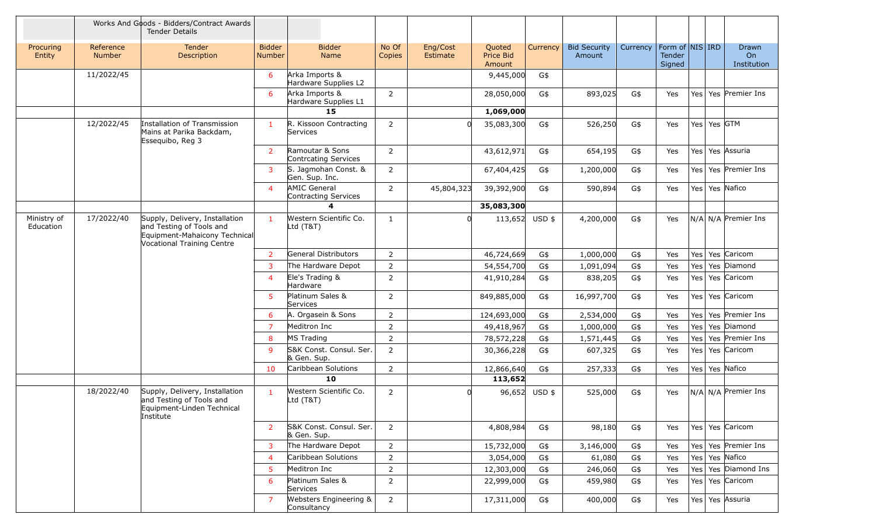|                          |                            | Works And Goods - Bidders/Contract Awards<br><b>Tender Details</b>                                                               |                                |                                             |                 |                      |                               |          |                               |          |                                     |                  |                 |                                   |
|--------------------------|----------------------------|----------------------------------------------------------------------------------------------------------------------------------|--------------------------------|---------------------------------------------|-----------------|----------------------|-------------------------------|----------|-------------------------------|----------|-------------------------------------|------------------|-----------------|-----------------------------------|
| Procuring<br>Entity      | Reference<br><b>Number</b> | <b>Tender</b><br>Description                                                                                                     | <b>Bidder</b><br><b>Number</b> | <b>Bidder</b><br>Name                       | No Of<br>Copies | Eng/Cost<br>Estimate | Quoted<br>Price Bid<br>Amount | Currency | <b>Bid Security</b><br>Amount | Currency | Form of NIS IRD<br>Tender<br>Signed |                  |                 | <b>Drawn</b><br>On<br>Institution |
|                          | 11/2022/45                 |                                                                                                                                  | 6                              | Arka Imports &<br>Hardware Supplies L2      |                 |                      | 9,445,000                     | G\$      |                               |          |                                     |                  |                 |                                   |
|                          |                            |                                                                                                                                  | 6                              | Arka Imports &<br>Hardware Supplies L1      | $\overline{2}$  |                      | 28,050,000                    | G\$      | 893,025                       | G\$      | Yes                                 | Yes              |                 | Yes Premier Ins                   |
|                          |                            |                                                                                                                                  |                                | 15                                          |                 |                      | 1,069,000                     |          |                               |          |                                     |                  |                 |                                   |
|                          | 12/2022/45                 | Installation of Transmission<br>Mains at Parika Backdam,<br>Essequibo, Reg 3                                                     | $\mathbf{1}$                   | R. Kissoon Contracting<br>Services          | 2               | <sup>n</sup>         | 35,083,300                    | G\$      | 526,250                       | G\$      | Yes                                 |                  | Yes   Yes   GTM |                                   |
|                          |                            |                                                                                                                                  | $\overline{2}$                 | Ramoutar & Sons<br>Contrcating Services     | $\overline{2}$  |                      | 43,612,971                    | G\$      | 654,195                       | G\$      | Yes                                 |                  |                 | Yes   Yes   Assuria               |
|                          |                            |                                                                                                                                  | 3                              | S. Jagmohan Const. &<br>Gen. Sup. Inc.      | $\overline{2}$  |                      | 67,404,425                    | G\$      | 1,200,000                     | G\$      | Yes                                 | Yes <sub>l</sub> |                 | Yes Premier Ins                   |
|                          |                            |                                                                                                                                  | $\overline{4}$                 | <b>AMIC General</b><br>Contracting Services | 2               | 45,804,323           | 39,392,900                    | G\$      | 590,894                       | G\$      | Yes                                 |                  |                 | Yes Yes Nafico                    |
|                          |                            |                                                                                                                                  |                                | 4                                           |                 |                      | 35,083,300                    |          |                               |          |                                     |                  |                 |                                   |
| Ministry of<br>Education | 17/2022/40                 | Supply, Delivery, Installation<br>and Testing of Tools and<br>Equipment-Mahaicony Technical<br><b>Vocational Training Centre</b> | $\mathbf{1}$                   | Western Scientific Co.<br>Ltd (T&T)         | $\mathbf{1}$    | <sup>n</sup>         | 113,652 USD \$                |          | 4,200,000                     | G\$      | Yes                                 |                  |                 | N/A N/A Premier Ins               |
|                          |                            |                                                                                                                                  | $\overline{2}$                 | General Distributors                        | $\overline{2}$  |                      | 46,724,669                    | G\$      | 1,000,000                     | G\$      | Yes                                 |                  |                 | Yes   Yes   Caricom               |
|                          |                            |                                                                                                                                  | 3                              | The Hardware Depot                          | $\overline{2}$  |                      | 54,554,700                    | G\$      | 1,091,094                     | G\$      | Yes                                 | Yes <sup></sup>  |                 | Yes Diamond                       |
|                          |                            |                                                                                                                                  | $\overline{4}$                 | Ele's Trading &<br>Hardware                 | $\overline{2}$  |                      | 41,910,284                    | G\$      | 838,205                       | G\$      | Yes                                 |                  |                 | Yes Yes Caricom                   |
|                          |                            |                                                                                                                                  | 5                              | Platinum Sales &<br>Services                | $\overline{2}$  |                      | 849,885,000                   | G\$      | 16,997,700                    | G\$      | Yes                                 |                  |                 | Yes   Yes   Caricom               |
|                          |                            |                                                                                                                                  | 6                              | A. Orgasein & Sons                          | $\overline{2}$  |                      | 124,693,000                   | G\$      | 2,534,000                     | G\$      | Yes                                 |                  |                 | Yes   Yes   Premier Ins           |
|                          |                            |                                                                                                                                  | $\overline{7}$                 | Meditron Inc                                | $\overline{2}$  |                      | 49,418,967                    | $G$ \$   | 1,000,000                     | G\$      | Yes                                 | Yes              |                 | Yes Diamond                       |
|                          |                            |                                                                                                                                  | 8                              | MS Trading                                  | $\overline{2}$  |                      | 78,572,228                    | G\$      | 1,571,445                     | G\$      | Yes                                 | Yes              |                 | Yes Premier Ins                   |
|                          |                            |                                                                                                                                  | $\mathbf{Q}$                   | S&K Const. Consul. Ser.<br>& Gen. Sup.      | $\overline{2}$  |                      | 30,366,228                    | G\$      | 607,325                       | G\$      | Yes                                 | Yes <sup></sup>  |                 | Yes Caricom                       |
|                          |                            |                                                                                                                                  | 10                             | Caribbean Solutions                         | $\overline{2}$  |                      | 12,866,640                    | G\$      | 257,333                       | G\$      | Yes                                 |                  |                 | Yes   Yes   Nafico                |
|                          |                            |                                                                                                                                  |                                | 10                                          |                 |                      | 113,652                       |          |                               |          |                                     |                  |                 |                                   |
|                          | 18/2022/40                 | Supply, Delivery, Installation<br>and Testing of Tools and<br>Equipment-Linden Technical<br>Institute                            | $\mathbf{1}$                   | Western Scientific Co.<br>Ltd (T&T)         | 2               |                      | 96,652                        | $USD$ \$ | 525,000                       | G\$      | Yes                                 |                  |                 | N/A N/A Premier Ins               |
|                          |                            |                                                                                                                                  | $\overline{2}$                 | S&K Const. Consul. Ser.<br>& Gen. Sup.      | $\overline{2}$  |                      | 4,808,984                     | G\$      | 98,180                        | G\$      | Yes                                 |                  |                 | Yes   Yes   Caricom               |
|                          |                            |                                                                                                                                  | 3                              | The Hardware Depot                          | $\overline{2}$  |                      | 15,732,000                    | G\$      | 3,146,000                     | G\$      | Yes                                 |                  |                 | Yes   Yes   Premier Ins           |
|                          |                            |                                                                                                                                  | $\overline{4}$                 | Caribbean Solutions                         | $\overline{2}$  |                      | 3,054,000                     | G\$      | 61,080                        | G\$      | Yes                                 |                  |                 | Yes Yes Nafico                    |
|                          |                            |                                                                                                                                  | 5                              | Meditron Inc                                | $\overline{2}$  |                      | 12,303,000                    | G\$      | 246,060                       | G\$      | Yes                                 | Yes              |                 | Yes Diamond Ins                   |
|                          |                            |                                                                                                                                  | 6                              | Platinum Sales &<br>Services                | $\overline{2}$  |                      | 22,999,000                    | G\$      | 459,980                       | G\$      | Yes                                 |                  |                 | Yes Yes Caricom                   |
|                          |                            |                                                                                                                                  | $\overline{7}$                 | Websters Engineering &<br>Consultancy       | $\overline{2}$  |                      | 17,311,000                    | G\$      | 400,000                       | G\$      | Yes                                 |                  |                 | Yes Yes Assuria                   |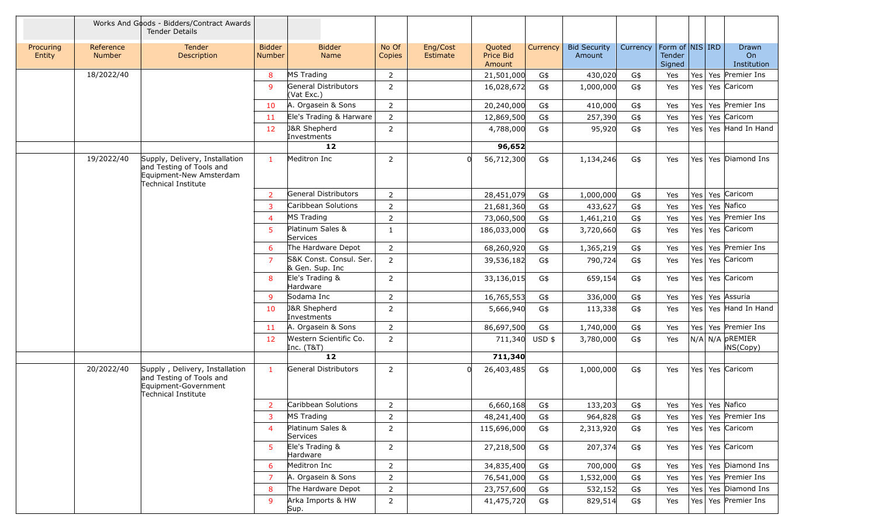|                     |                            | Works And Goods - Bidders/Contract Awards<br><b>Tender Details</b>                                           |                                |                                            |                 |                      |                               |          |                               |          |                                     |  |                              |
|---------------------|----------------------------|--------------------------------------------------------------------------------------------------------------|--------------------------------|--------------------------------------------|-----------------|----------------------|-------------------------------|----------|-------------------------------|----------|-------------------------------------|--|------------------------------|
| Procuring<br>Entity | Reference<br><b>Number</b> | <b>Tender</b><br>Description                                                                                 | <b>Bidder</b><br><b>Number</b> | <b>Bidder</b><br>Name                      | No Of<br>Copies | Eng/Cost<br>Estimate | Quoted<br>Price Bid<br>Amount | Currency | <b>Bid Security</b><br>Amount | Currency | Form of NIS IRD<br>Tender<br>Signed |  | Drawn<br>On<br>Institution   |
|                     | 18/2022/40                 |                                                                                                              | 8                              | MS Trading                                 | $\overline{2}$  |                      | 21,501,000                    | G\$      | 430,020                       | G\$      | Yes                                 |  | Yes   Yes   Premier Ins      |
|                     |                            |                                                                                                              | 9                              | General Distributors<br>(Vat Exc.)         | 2               |                      | 16,028,672                    | G\$      | 1,000,000                     | G\$      | Yes                                 |  | Yes   Yes   Caricom          |
|                     |                            |                                                                                                              | 10                             | A. Orgasein & Sons                         | $\overline{2}$  |                      | 20,240,000                    | G\$      | 410,000                       | G\$      | Yes                                 |  | Yes   Yes   Premier Ins      |
|                     |                            |                                                                                                              | 11                             | Ele's Trading & Harware                    | $\overline{2}$  |                      | 12,869,500                    | G\$      | 257,390                       | G\$      | Yes                                 |  | Yes   Yes   Caricom          |
|                     |                            |                                                                                                              | 12                             | J&R Shepherd<br>Investments                | $\overline{2}$  |                      | 4,788,000                     | G\$      | 95,920                        | G\$      | Yes                                 |  | Yes   Yes   Hand In Hand     |
|                     |                            |                                                                                                              |                                | 12                                         |                 |                      | 96,652                        |          |                               |          |                                     |  |                              |
|                     | 19/2022/40                 | Supply, Delivery, Installation<br>and Testing of Tools and<br>Equipment-New Amsterdam<br>Technical Institute | $\mathbf{1}$                   | Meditron Inc                               | $\overline{2}$  |                      | 56,712,300<br>$\Omega$        | G\$      | 1,134,246                     | G\$      | Yes                                 |  | Yes   Yes   Diamond Ins      |
|                     |                            |                                                                                                              | $\mathbf{2}$                   | General Distributors                       | $\overline{2}$  |                      | 28,451,079                    | G\$      | 1,000,000                     | G\$      | Yes                                 |  | Yes Yes Caricom              |
|                     |                            |                                                                                                              | 3                              | Caribbean Solutions                        | 2               |                      | 21,681,360                    | G\$      | 433,627                       | G\$      | Yes                                 |  | Yes   Yes   Nafico           |
|                     |                            |                                                                                                              | 4                              | MS Trading                                 | $\overline{2}$  |                      | 73,060,500                    | G\$      | 1,461,210                     | G\$      | Yes                                 |  | Yes   Yes   Premier Ins      |
|                     |                            |                                                                                                              | 5                              | Platinum Sales &<br>Services               | $\mathbf{1}$    |                      | 186,033,000                   | G\$      | 3,720,660                     | G\$      | Yes                                 |  | Yes Yes Caricom              |
|                     |                            |                                                                                                              | 6                              | The Hardware Depot                         | $\overline{2}$  |                      | 68,260,920                    | G\$      | 1,365,219                     | G\$      | Yes                                 |  | Yes   Yes   Premier Ins      |
|                     |                            |                                                                                                              | $\overline{7}$                 | S&K Const. Consul. Ser.<br>& Gen. Sup. Inc | $\overline{2}$  |                      | 39,536,182                    | G\$      | 790,724                       | G\$      | Yes                                 |  | Yes Yes Caricom              |
|                     |                            |                                                                                                              | 8                              | Ele's Trading &<br>Hardware                | $\mathbf{2}$    |                      | 33,136,015                    | G\$      | 659,154                       | G\$      | Yes                                 |  | Yes   Yes   Caricom          |
|                     |                            |                                                                                                              | 9                              | Sodama Inc                                 | 2               |                      | 16,765,553                    | G\$      | 336,000                       | G\$      | Yes                                 |  | Yes   Yes   Assuria          |
|                     |                            |                                                                                                              | 10                             | <b>J&amp;R Shepherd</b><br>Investments     | $\overline{2}$  |                      | 5,666,940                     | G\$      | 113,338                       | G\$      | Yes                                 |  | Yes   Yes   Hand In Hand     |
|                     |                            |                                                                                                              | 11                             | A. Orgasein & Sons                         | $\overline{2}$  |                      | 86,697,500                    | G\$      | 1,740,000                     | G\$      | Yes                                 |  | Yes Yes Premier Ins          |
|                     |                            |                                                                                                              | 12                             | Western Scientific Co.<br>Inc. (T&T)       | $\overline{2}$  |                      | 711,340                       | $USD$ \$ | 3,780,000                     | G\$      | Yes                                 |  | N/A N/A PREMIER<br>iNS(Copy) |
|                     |                            |                                                                                                              |                                | 12                                         |                 |                      | 711,340                       |          |                               |          |                                     |  |                              |
|                     | 20/2022/40                 | Supply, Delivery, Installation<br>and Testing of Tools and<br>Equipment-Government<br>Technical Institute    | 1.                             | General Distributors                       | $\overline{2}$  |                      | 26,403,485                    | G\$      | 1,000,000                     | G\$      | Yes                                 |  | Yes Yes Caricom              |
|                     |                            |                                                                                                              | $2^{\circ}$                    | Caribbean Solutions                        | $\overline{2}$  |                      | 6,660,168                     | G\$      | 133,203                       | G\$      |                                     |  | Yes   Yes   Yes   Nafico     |
|                     |                            |                                                                                                              | 3                              | MS Trading                                 | 2               |                      | 48,241,400                    | G\$      | 964,828                       | G\$      | Yes                                 |  | Yes   Yes   Premier Ins      |
|                     |                            |                                                                                                              | $\overline{4}$                 | Platinum Sales &<br>Services               | $\overline{2}$  |                      | 115,696,000                   | G\$      | 2,313,920                     | G\$      | Yes                                 |  | Yes Yes Caricom              |
|                     |                            |                                                                                                              | 5                              | Ele's Trading &<br>Hardware                | $\overline{2}$  |                      | 27,218,500                    | G\$      | 207,374                       | G\$      | Yes                                 |  | Yes   Yes   Caricom          |
|                     |                            |                                                                                                              | 6                              | Meditron Inc                               | $\overline{2}$  |                      | 34,835,400                    | G\$      | 700,000                       | G\$      | Yes                                 |  | Yes   Yes   Diamond Ins      |
|                     |                            |                                                                                                              | 7                              | A. Orgasein & Sons                         | $\overline{2}$  |                      | 76,541,000                    | G\$      | 1,532,000                     | G\$      | Yes                                 |  | Yes Yes Premier Ins          |
|                     |                            |                                                                                                              | 8                              | The Hardware Depot                         | $\overline{2}$  |                      | 23,757,600                    | G\$      | 532,152                       | G\$      | Yes                                 |  | Yes   Yes   Diamond Ins      |
|                     |                            |                                                                                                              | 9                              | Arka Imports & HW<br>Sup.                  | $2^{\circ}$     |                      | 41,475,720                    | G\$      | 829,514                       | G\$      | Yes                                 |  | Yes   Yes   Premier Ins      |